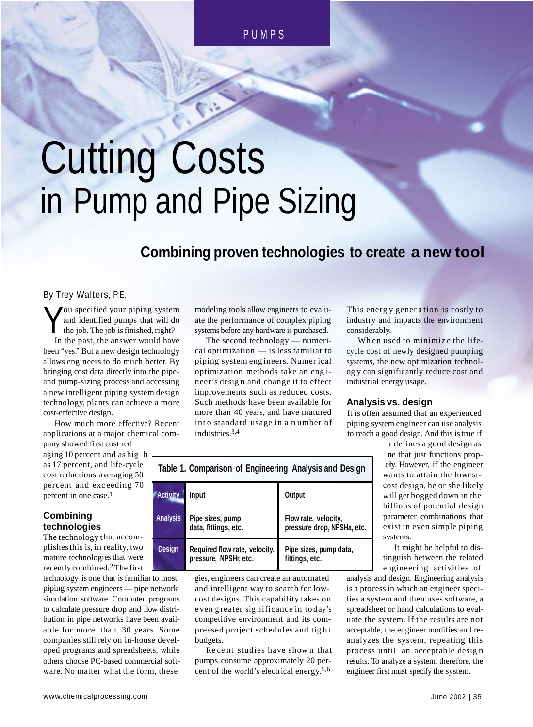# Cutting Costs in Pump and Pipe Sizing

## **Combining proven technologies to create a new tool**

By Trey Walters, P.E.

Y ou specified your piping system and identified pumps that will do the job. The job isfinished, right? In the past, the answer would have been "yes." But a new design technology allows engineers to do much better. By bringing cost data directly into the pipeand pump-sizing process and accessing a new intelligent piping system design technology, plants can achieve a more cost-effective design.

 $\mathbf r$ How much more effective? Recent applications at a major chemical company showed first cost red

as 17 percent, and life-cycle cost reductions averaging 50 percent and exceeding 70 percent in one case.<sup>1</sup> aging 10 percent and as hig

## **Combining technologies**

The technology that accomplishes this is, in reality, two mature technologies that were recently combined.<sup>2</sup> The first

technology is one that is familiar to most gies, engines piping system engineers — pipe network and intellig simulation software. Computer programs to calculate pressure drop and flow distribution in pipe networks have been available for more than 30 years. Some companies still rely on in-house developed programs and spreadsheets, while others choose PC-based commercial software. No matter what the form, these

modeling tools allow engineers to evaluate the performance of complex piping systems before any hardware is purchased.

The second technology — numerical optimization — is less familiar to piping system eng ineers. Numer ical optimization methods take an eng ineer's desig n and change it to effect improvements such as reduced costs. Such methods have been available for more than 40 years, and have matured int o standard usage in a n umber of industries.3,4

This energ y gener a tion is costly to industry and impacts the environment considerably.

Wh en used to minimiz e the lifecycle cost of newly designed pumping systems, the new optimization technolog y can significantly reduce cost and industrial energy usage.

## **Analysis vs. design**

It is often assumed that an experienced piping system engineer can use analysis to reach a good design. And this istrue if r defines a good design as

| Table 1. Comparison of Engineering Analysis and Design |                                                        |                                                    |  |  |  |
|--------------------------------------------------------|--------------------------------------------------------|----------------------------------------------------|--|--|--|
| <b>Activity</b>                                        | Input                                                  | Output                                             |  |  |  |
| <b>Analysis</b>                                        | Pipe sizes, pump<br>data, fittings, etc.               | Flow rate, velocity,<br>pressure drop, NPSHa, etc. |  |  |  |
| <b>Design</b>                                          | Required flow rate, velocity,<br>pressure, NPSHr, etc. | Pipe sizes, pump data,<br>fittings, etc.           |  |  |  |

gies, engineers can create an automated and intelligent way to search for lowcost designs. This capability takes on e ven g reater sig nificance in to day's competitive environment and its compressed project schedules and tig h t budgets.

Re ce nt studies have show n that pumps consume approximately 20 percent of the world's electrical energy. 5,6

ely. However, if the engineer w ants to attain the lowestc ost design, he or she likely w ill get bogged down in the ne that just functions propbillions of potential design parameter combinations that exist in even simple piping systems.

It might be helpful to distinguish between the related engineering activities of

analysis and design. Engineering analysis is a process in which an engineer specifies a system and then uses software, a spreadsheet or hand calculations to evaluate the system. If the results are not acceptable, the engineer modifies and reanalyzes the system, repeating this process until an acceptable desig n results. To analyze a system, therefore, the engineer first must specify the system.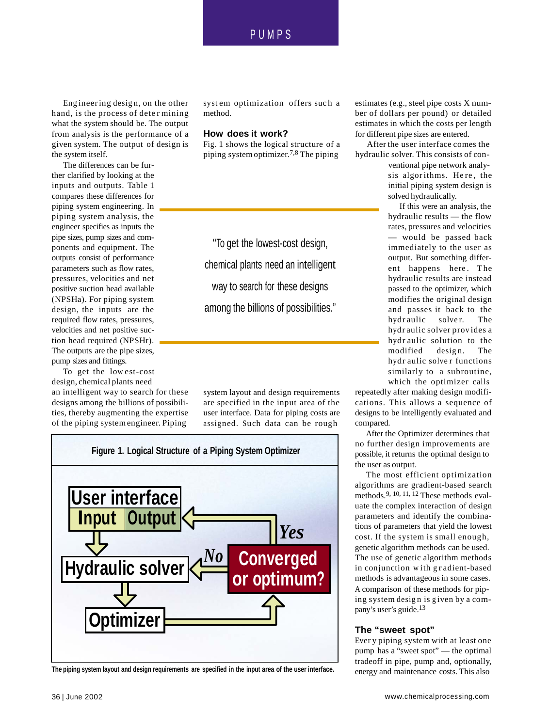## PUMP S

Eng ineering desig n, on the other hand, is the process of dete r mining what the system should be. The output from analysis is the performance of a given system. The output of design is the system itself.

The differences can be further clarified by looking at the inputs and outputs. Table 1 compares these differences for piping system engineering. In piping system analysis, the engineer specifies as inputs the pipe sizes, pump sizes and components and equipment. The outputs consist of performance parameters such as flow rates, pressures, velocities and net positive suction head available (NPSHa). For piping system design, the inputs are the required flow rates, pressures, velocities and net positive suction head required (NPSHr). The outputs are the pipe sizes, pump sizes and fittings.

To get the low est-cost design, chemical plants need an intelligent way to search for these designs among the billions of possibilities, thereby augmenting the expertise of the piping systemengineer. Piping

syst em optimization offers suc h a method.

#### **How does it work?**

Fig. 1 shows the logical structure of a piping systemoptimizer. 7,8 The piping

"To get the lowest-cost design, chemical plants need an intelligent way to search for these designs among the billions of possibilities."

system layout and design requirements are specified in the input area of the user interface. Data for piping costs are assigned. Such data can be rough



**The piping system layout and design requirements are specified in the input area of the user interface.**

estimates (e.g., steel pipe costs X number of dollars per pound) or detailed estimates in which the costs per length for different pipe sizes are entered.

After the user interface comes the hydraulic solver. This consists of con-

> ventional pipe network analysis algor ithms. He re , the initial piping system design is solved hydraulically.

If this were an analysis, the hydraulic results — the flow rates, pressures and velocities — would be passed back immediately to the user as output. But something different happens here. The hydraulic results are instead passed to the optimizer, which modifies the original design and passes it back to the hydraulic solver. The hydr aulic solver prov ides a hydr aulic solution to the modified design. The hydr aulic solve r functions similarly to a subroutine, which the optimizer calls

repeatedly after making design modifications. This allows a sequence of designs to be intelligently evaluated and compared.

After the Optimizer determines that possible, it returns the optimal design to the user as output.

The most efficient optimization algorithms are gradient-based search methods.9, 10, 11, <sup>12</sup> These methods evaluate the complex interaction of design parameters and identify the combinations of parameters that yield the lowest cost. If the system is small enough, genetic algorithm methods can be used. The use of genetic algorithm methods in conjunction w ith g r adient-based methods is advantageous in some cases. A comparison of these methods for piping system desig n is g iven by a company's user's guide.<sup>13</sup>

#### **The "sweet spot"**

Ever y piping system with at least one pump has a "sweet spot" — the optimal tradeoff in pipe, pump and, optionally, energy and maintenance costs. This also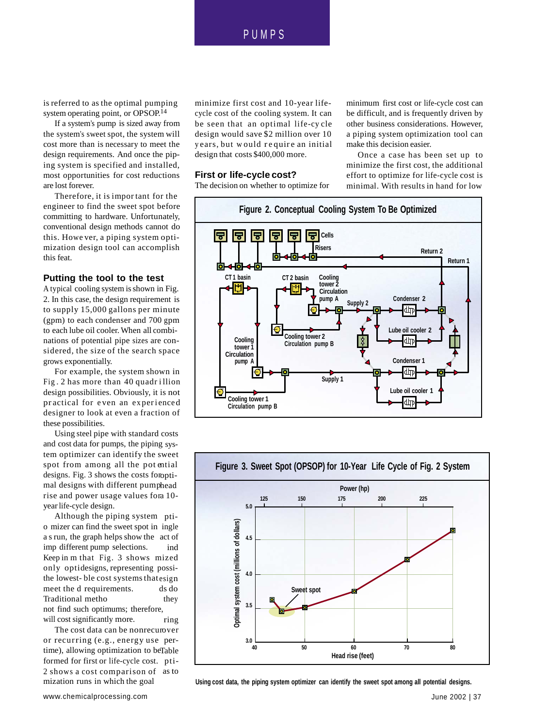## PUMP S

is referred to as the optimal pumping system operating point, or OPSOP. 14

If a system's pump is sized away from the system's sweet spot, the system will cost more than is necessary to meet the design requirements. And once the piping system is specified and installed, most opportunities for cost reductions are lost forever.

Therefore, it is impor tant for the engineer to find the sweet spot before committing to hardware. Unfortunately, conventional design methods cannot do this. Howe ver, a piping system optimization design tool can accomplish this feat.

### **Putting the tool to the test**

A typical cooling system is shown in Fig. 2. In this case, the design requirement is to supply 15,000 gallons per minute (gpm) to each condenser and 700 gpm to each lube oil cooler. When all combinations of potential pipe sizes are considered, the size of the search space grows exponentially.

For example, the system shown in Fig . 2 has more than 40 quadr i llion design possibilities. Obviously, it is not pr actical for even an experienced designer to look at even a fraction of these possibilities.

*<b>costs <b><i><b> <b> <b> <b>* and cost data for pumps, the piping system optimizer can identify the sweet spot from among all the pot ential designs. Fig. 3 shows the costs foroptimal designs with different pumphead rise and power usage values fora 10-Using steel pipe with standard costs year life-cycle design.

Although the piping system ptio mizer can find the sweet spot in ingle a s run, the graph helps show the act of ind Keep in m that Fig. 3 shows mized only optidesigns, representing possithe lowest- ble cost systems that esign ds do they ring imp different pump selections. meet the d requirements. Traditional metho not find such optimums; therefore, will cost significantly more.

The cost data can be nonrecurover or recurring (e.g., energy use pertime), allowing optimization to beTable formed for first or life-cycle cost. pti-2 shows a cost comparison of as to

minimize first cost and 10-year lifecycle cost of the cooling system. It can be seen that an optimal life-cy cle design would save \$2 million over 10 years, but would require an initial design that costs \$400,000 more.

#### **First or life-cycle cost?**

The decision on whether to optimize for

minimum first cost or life-cycle cost can be difficult, and is frequently driven by other business considerations. However, a piping system optimization tool can make this decision easier.

Once a case has been set up to minimize the first cost, the additional effort to optimize for life-cycle cost is minimal. With results in hand for low





mization runs in which the goal Using cost data, the piping system optimizer can identify the sweet spot among all potential designs.